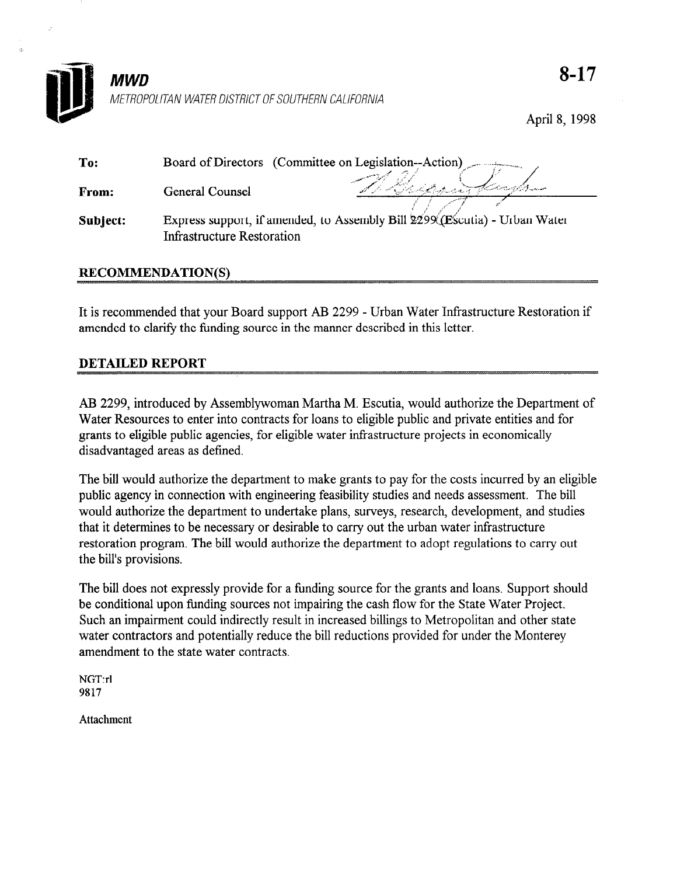

April 8, 1998

| To:      | Board of Directors (Committee on Legislation--Action)                                                           |          |
|----------|-----------------------------------------------------------------------------------------------------------------|----------|
| From:    | General Counsel                                                                                                 | Allentan |
| Subject: | Express support, if amended, to Assembly Bill 2299 (Escutia) - Urban Water<br><b>Infrastructure Restoration</b> |          |

## RECOMMENDATION(S)

It is recommended that your Board support AB 2299 - Urban Water Infrastructure Restoration if amended to clarify the funding source in the manner described in this letter.

# DETAILED REPORT

AB 2299, introduced by Assemblywoman Martha M. Escutia, would authorize the Department of Water Resources to enter into contracts for loans to eligible public and private entities and for grants to eligible public agencies, for eligible water infrastructure projects in economically disadvantaged areas as defined.

The bill would authorize the department to make grants to pay for the costs incurred by an eligible public agency in connection with engineering feasibility studies and needs assessment. The bill would authorize the department to undertake plans, surveys, research, development, and studies that it determines to be necessary or desirable to carry out the urban water infrastructure restoration program. The bill would authorize the department to adopt regulations to carry out the bill's provisions.

The bill does not expressly provide for a funding source for the grants and loans. Support should be conditional upon funding sources not impairing the cash flow for the State Water Project. Such an impairment could indirectly result in increased billings to Metropolitan and other state water contractors and potentially reduce the bill reductions provided for under the Monterey amendment to the state water contracts.

NGT:rl 9817

Attachment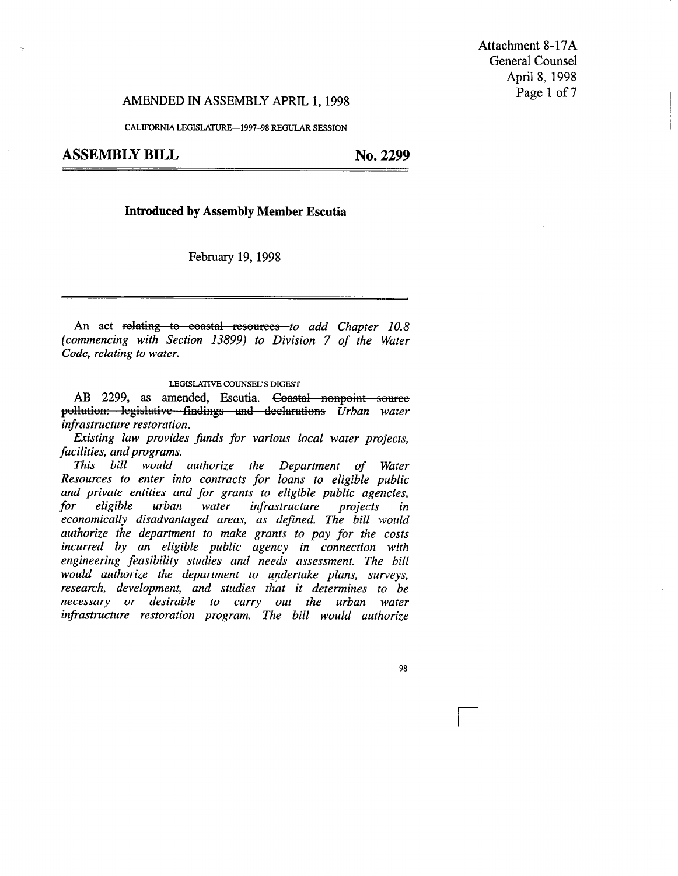Attachment 8-17A General Counsel April 8, 1998

# AMENDED IN ASSEMBLY APRIL 1, 1998 **Page 1 of 7**

CALIFORNIA LEGISLATURE-1997--98 REGULAR SESSION

#### Introduced by Assembly Member Escutia

February 19,1998

An act relating to coastal resources to add Chapter 10.8 (commencing with Section 13899) to Division 7 of the Water Code, relating to water.

#### LEGISLATIVE COUNSEL'S DIGEST

AB 2299, as amended, Escutia. Coastal nonpoint source pollution: legislative findings and declarations Urban water infrastructure restoration.

Existing law provides funds for various local water projects, facilities, and programs.

This bill would authorize the Department of Water Resources to enter into contracts for loans to eligible public and private entities and for grants to eligible public agencies, for eligible urban water infrastructure projects in economically disadvantaged areas, as defined. The bill would authorize the department to make grants to pay for the costs incurred by an eligible public agency in connection with engineering feasibility studies and needs assessment. The bill would authorize the department to undertake plans, surveys, research, development, and studies that it determines to be necessary or desirable to carry out the urban water infrastructure restoration program. The bill would authorize

98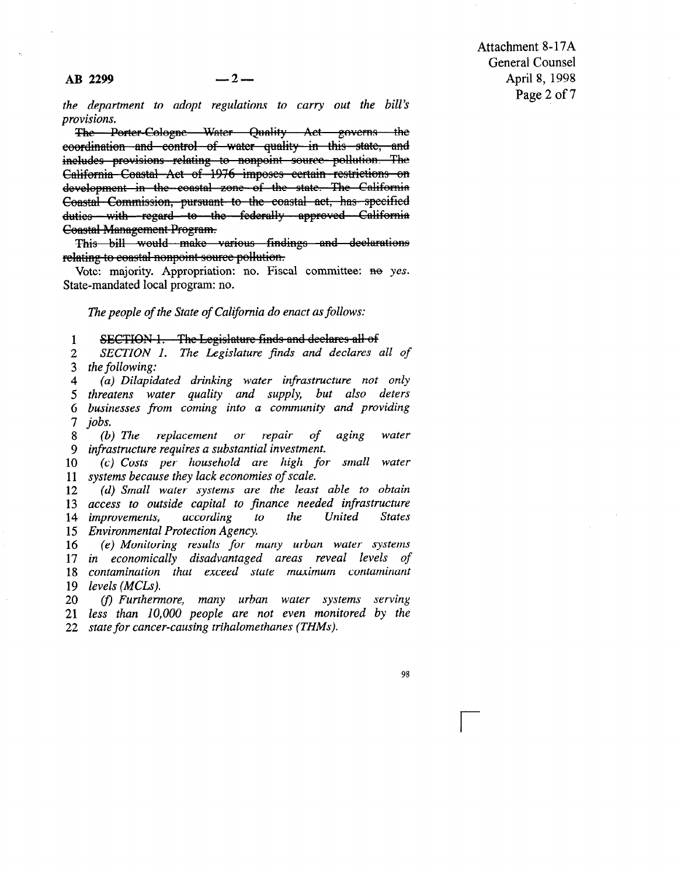the department to adopt regulations to carry out the bill's provisions.

The Porter-Cologne Water Quality Act governs the eoordination and control of water quality in this state, and includes provisions relating to nonpoint source pollution. The California Coastal Act of 1976 imposes certain restrictions on development in the coastal zone of the state. The California Coastal Commission, pursuant to the coastal act, has specified duties with regard to the federally approved California **Coastal Management Program.** 

This bill would make various findings and declarations relating to coastal nonpoint source pollution.<br>Vote: majority. Appropriation: no. Fiscal committee: no yes.

State-mandated local program: no.

The people of the State of California do enact as follows:

1

2 3 SECTION 1. The Legislature finds and declares all of<br>SECTION 1. The Legislature finds and declares all of the following:  $\mathcal{L}$  distribution drinking.

4 5 threatens water quality and supply, but also deters  $\frac{3}{5}$  $\frac{0}{7}$ the complete and supply water algorithments was and supply business water quality and supply, our also acte yusi

 $\frac{7}{8}$  $\mathcal{D}$  , the replacement or replacement or replacement or representation of a ging water of aging water  $\mathcal{D}$ 

9  $\frac{9}{10}$ (b) The replacement or repair of infrastructure requires a substantial investment.  $\mu$ castructure requires a substantial investment.

 $\mathbf{u}$ 11 systems because they tack economies of scale.  $\{c\}$  Cosis per nousenoid die night.

13 13 access to outsiae capital to finance neeaed infrastructure 14 *improvements*, accoraing 15 Environmental Protection Agency.  $(d)$  Small water systems are the least able to obtain

16 17 in economically disadvantaged areas reveal levels 18 *contaminatio*. 19 levels (MCLs).  $(e)$  Monitoring results for many urban water systems

20 21 less than 10,000 people are not even mo. (f) Furthermore, many urban water systems serving

98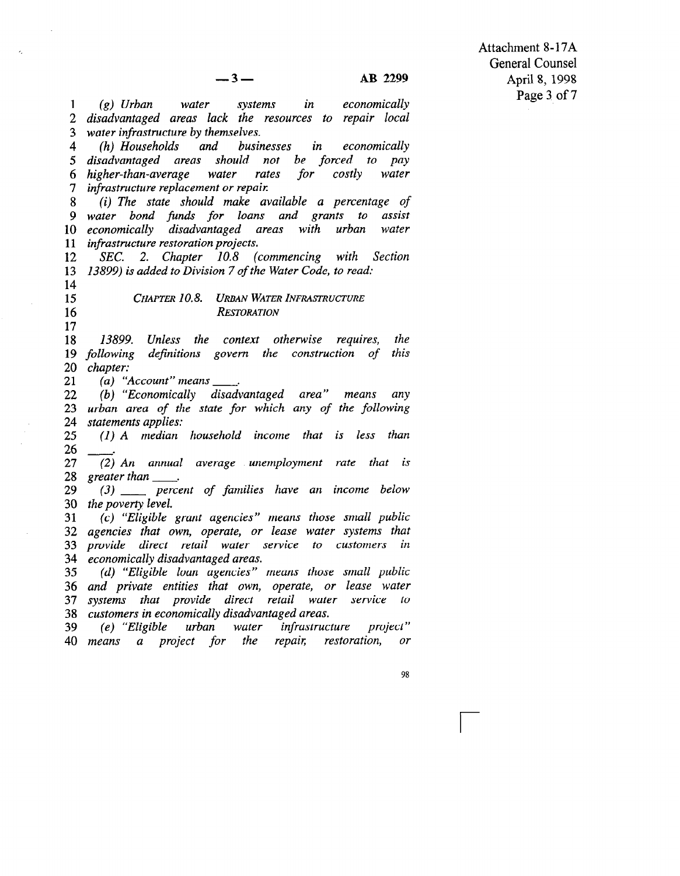Attachment 8-17A General Counsel April 8, 1998 Page 3 of 7

1 2 disadvantaged areas lack the resources to repair loca 3 water infrastructure by themselves. (g) Urban water systems in economically

4 5 disadvantaged areas should not be forced to pay 6 higher-than-average water rates for costly water 7 infrastructure replacement or repai (h) Households and businesses in economically

8 9 water bond finds for loans and grants to assist 10 economically disadvantaged areas with urban water <u>ian</u><br>11 infrastructure restoration project. (i) The state should make available a percentage of

12 14 13 12800) is added to Division 7 of the Water Code, to read SEC. 2. Chapter 10.8 (commencing with Section

14 15

> 16 17

CHAPTER 10.8. URBAN WATER INFRASTRUCTURE **RESTORATION** 

18 19 1999, Omess me comen omermee requires, me 12 jouwww<br>20 Jeanse 13899. Unless the context otherwise requires, the

21 (a) "Account" means  $\overline{\phantom{a}}$ 

22 22.<br>22.  $\frac{2}{2}$  $\frac{24}{15}$ (b) "Economically disadvantaged area" means any urban area of the state for the state for the following and the following and for the following and for the following and following and following and for the following and following and following and for the following and urbun urea by

26 26 (I) A median household income that is less than (2) An annual average unemployment rate that is a strong that is a strong term of the that is a strong term of

27 28 greater than  $\left(2\right)$  An un  $\ell$  and  $\ell$  percent of  $\ell$  of  $\ell$  in income below below below below.

29 30 the poverty level.  $\sigma$   $\sigma$   $\sigma$   $\sigma$   $\sigma$  $\epsilon$  poverty tevel.

31 32 agencies that own, operate, or lease water systems that 33 provide direct retail water 34 economically disadvantaged areas. (c) "Eligible grant agencies" means those small public

36 36 and private entities that own, operate, or lease water 37 systems that provide direct retail wat 38 customers in economically disadvantaged areas.  $(d)$  "Eligible loan agencies" means those small public

(e) "Eligible urban water infrastructure project"<br>eans a project for the repair, restoration, or 39 40 means a project for the repair, or

98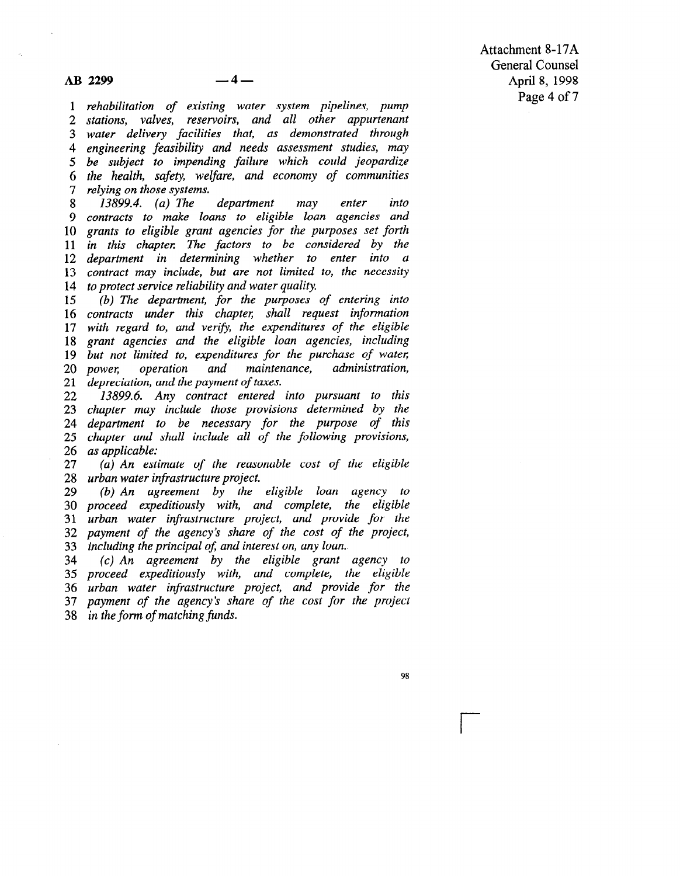1 rehabilitation of existing water system pipelines, pump 2 stations, valves, reservoirs, and all other appurtena 3 water delivery facilities that, as demonstrated through 4 engineering feasibility and needs assessment studies, may 5 be subject to impending failure which could jeopardi 6 the health, safety welfare, and economy of communiti 7 relying on those systems.

8 9 contracts to make loans to eligible loan agencies and 10 grants to eligible grant agencies for the purposes set forth 11 in this chapter The factors to be considered by the 12 department in determining whether to enter into a 12 acparament in accomming the transmission of the necessity 15 Commet may member, can are not minimized 13899.4. (a) The department may enter into

15 15 (b) In apparation, joint papeles by chemic of 10 comments macr mis chapter, shaw request myormano 17 with regina to, and verty, the expenditures of the englo 19 but not limited to, expenditures for the purchase of water 20 *power*,  $\frac{20}{21}$  $\frac{21}{22}$ (b) The department, for the purposes of entering into pur noi unueu io, expenditures for the purentist of wa power, operation and mainter

zz 19099.0. Any commun emercy mo parsuum to mis<br>00 determined by the determined by the determined by the determined by the determined by the determined by the z chapier may include those provisions determined by the  $\frac{24}{1}$  $\frac{25}{16}$ 26 as applicable: 13899.6. Any contract entered into pursuant to this  $a$ charment to be necessary for the purpose of the  $a$ chapier and  $\mu$  applicable.

 $27<sup>°</sup>$ 28 urban water infrastructure project. (a) An estimate of the reas ban water infrastructure project.<br>Control in the eligible local agency to the electronic to the electronic state of the electronic state of the

29 30 proceed expeditiously with, and complete, the eligible 31 urban water infrastructure project, and provide for th 32 payment of the agency's share of the cost of 33 including the principal of, and interest on, any loan. (b) An agreement by the eligible toan agency  $\theta$ cluding the principal of, and interest on, any ioan.

34 35 proceed expeditiously with, and complete, the eligible 36 urban water infrastructure project, and provide for th 37 payment of the agency's s  $p(c)$  An agreement by the eligible grant agency i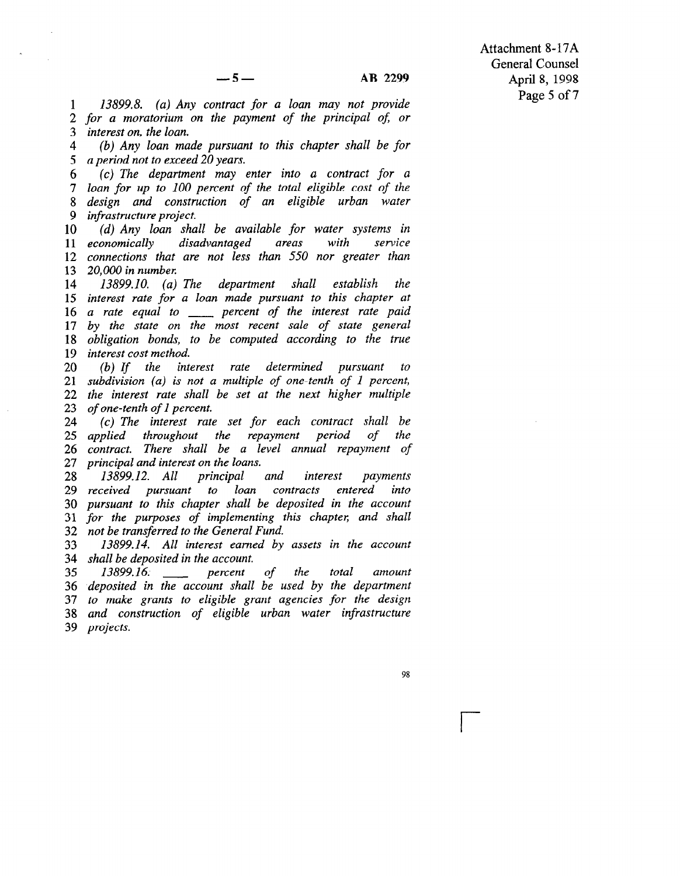1 2 for a moratorium on the payment of the principal of or 3 interest on, the loan. 13899.8. (a) Any contract for a loan may not provide

4 5 a period not to exceed 20 years. (b) Any loan made pursuant to this chapter shall be for

6 7 loan for up to 100 percent of the total eligible cost of the 8 design and construction of an eligible urban water 9 infrastructure project. (c) The department may enter into a contract for a

10 11 economically 11 commonly allowed and the monetal more connections that are not less than 550 nor greater than 13 20,000 in number. (d) Any loan shall be available for water systems in disadvantaged areas with service

14 15 interest rate for a loan made pursuant to this chapter at 15 uncrest rate for a tourt made parsmall to mile enapter and 17 by the state on the most recent sale of state general 11 by the state on the most recent sate of state general 10 *Obuganon bonas*, *i* 13899.10. (a) The department shall establish the

20 27<br>23  $\frac{21}{22}$ zz ine inieresi raie snau 23 of one-tenth of 1 percent. (b) If the interest rate determined pursuant to  $\{U\}$  is not a multiple of  $U$  is not a multiple of  $I$  percent of  $I$  percent,  $I$  percent,  $I$  percent,  $I$  percent,  $I$  percent,  $I$  percent,  $I$  percent,  $I$  percent,  $I$  percent,  $I$  percent,  $I$  percent,  $I$  perce subatytston  $\{a\}$  is not a multiple of one-tend of 1 percent,  $one$ -tenin of 1 percent.<br> $\ddot{c}$ 

 $24^{6}$ 25 applied  $\frac{20}{1}$  $21$  principal and interest on the loans. (c) the interest rate set for each contract shall be appuea inrougnout ine repayment perioa of ine contract. There shall be a le

29  $\frac{29}{1}$ 30 pursuant to this chapter shall be deposited in the account 31 for the purposes of implementing t 32 not be transferred to the General Fund. 13899.12. All principal and interest payments received pursuant to loan contracts entered into

33 34 shall be deposited in the account. 13899.14. All interest earned by assets in the account

36 36 deposited in the account shall be used by the department 37 to make grants to eligible grant agencies for the desigr 38 *and co*  $13899.16$ . percent of the total amount

98

<sup>r</sup>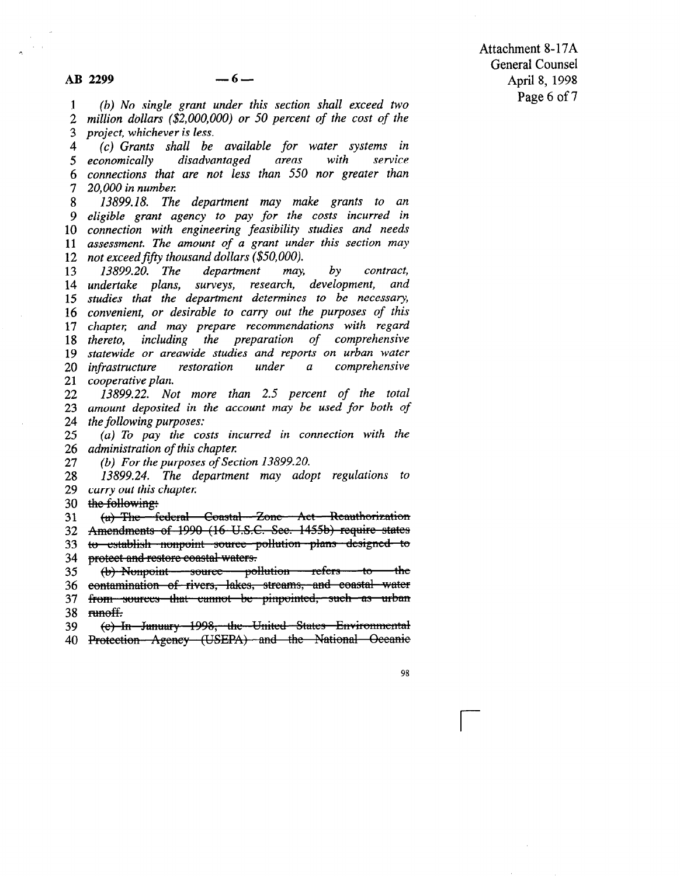Attachment 8-17A General Counsel April 8, 1998 Page 6 of 7

1 2 3 (b) No single grant under this section shall exceed two million dollars (\$2,000,000) or 50 percent of the cost of the project, whichever is less.

4 5 economically 6 connections that are not less than 550 nor greater than 7 (c) Grants shall be available for water systems in disadvantaged areas with service 20,000 in number

13899.18. The department may make grants to an 8 ; eligible grant agency to pay for the costs incurred in <sup>1</sup> connection with engineering feasibility studies and needs 11 assessment. The amount of a grant under this section may 11 assessment the model of a grant that

13 14 undertake plans, surveys, research, development, and 15 studies that the department determines to be necessary, 15 since the me appartment acternates to se necessary, 17 chaptel; and may prepare recommendations with regard 17 chapter, and may prepare recommendations with regard 19 statewide or areawide studies and reports on urban water  $\frac{17}{20}$  $\frac{20}{21}$  $\frac{21}{22}$ 13800.20. The department may by contract sidiewide of dreawide stadies and reports on aroun water continue plants in the plants of the plants of the plants of the plants of the plants of the plants of the pla<br>...  $\mu$ <sub>13899.</sub> operative plant.<br>13999.99. Not more than 2.5 percent of the total total

23 zə amouni aeposuea in i  $24$  $1,00,00,100$  and  $1,00,00$  and  $1,0,0,00$  and  $1,0,0,0,0$  $\sum_{i=1}^{n}$  To pay the costs include in connection with the connection with the connection with the connection with the connection with the connection with the connection with the connection with the connection with the

26  $26<sup>1</sup>$ (a) 10 pay the costs in administration of this chapter.

27 (b) For the purposes of Section  $13899.20$ .

29 29 carry out this chapter. 13899.24. The department may adopt regulations to

the following: 30

(a) The federal Coastal Zone Act Reauthorization 31

Amendments of 1990 (16 U.S.C. See. 1455b) require states 33

to establish nonpoint source pollution plans designed to 33 protect and restore coastal waters. 34

(b) Nonpoint - source - pollution - refers - to <del>the</del> 36

36 contamination of rivers, lakes, streams, and coastal water

from sources that cannot be pinpointed, such as urban 37

38 runoff.

(e) In January 1998, the United States Environmental 39 (e) In January 1998, the United States Environmental<br>40 Protection Agency (USEPA) and the National Oceanie

98